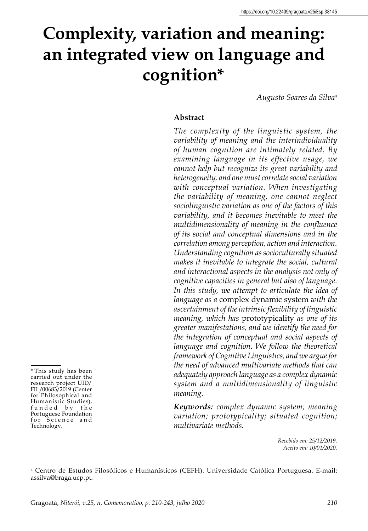# **Complexity, variation and meaning: an integrated view on language and cognition\***

*Augusto Soares da Silva<sup>a</sup>*

#### **Abstract**

*The complexity of the linguistic system, the variability of meaning and the interindividuality of human cognition are intimately related. By examining language in its effective usage, we cannot help but recognize its great variability and heterogeneity, and one must correlate social variation with conceptual variation. When investigating the variability of meaning, one cannot neglect sociolinguistic variation as one of the factors of this variability, and it becomes inevitable to meet the multidimensionality of meaning in the confluence of its social and conceptual dimensions and in the correlation among perception, action and interaction. Understanding cognition as socioculturally situated makes it inevitable to integrate the social, cultural and interactional aspects in the analysis not only of cognitive capacities in general but also of language. In this study, we attempt to articulate the idea of language as a* complex dynamic system *with the ascertainment of the intrinsic flexibility of linguistic meaning, which has* prototypicality *as one of its greater manifestations, and we identify the need for the integration of conceptual and social aspects of language and cognition. We follow the theoretical framework of Cognitive Linguistics, and we argue for the need of advanced multivariate methods that can adequately approach language as a complex dynamic system and a multidimensionality of linguistic meaning.*

*Keywords: complex dynamic system; meaning variation; prototypicality; situated cognition; multivariate methods.*

> *Recebido em: 25/12/2019. Aceito em: 10/01/2020.*

a Centro de Estudos Filosóficos e Humanísticos (CEFH). Universidade Católica Portuguesa. E-mail: assilva@braga.ucp.pt.

\* This study has been

carried out under the research project UID/ FIL/00683/2019 (Center for Philosophical and Humanistic Studies), f u n d e d b y t h e Portuguese Foundation for Science and Technology.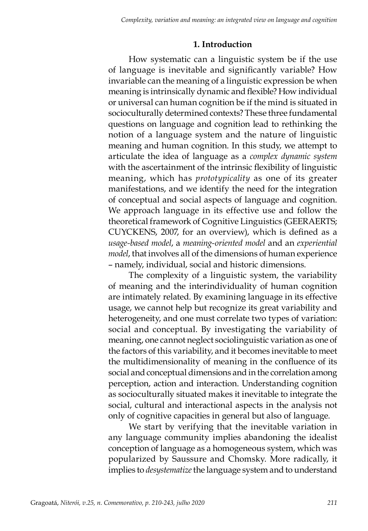## **1. Introduction**

How systematic can a linguistic system be if the use of language is inevitable and significantly variable? How invariable can the meaning of a linguistic expression be when meaning is intrinsically dynamic and flexible? How individual or universal can human cognition be if the mind is situated in socioculturally determined contexts? These three fundamental questions on language and cognition lead to rethinking the notion of a language system and the nature of linguistic meaning and human cognition. In this study, we attempt to articulate the idea of language as a *complex dynamic system* with the ascertainment of the intrinsic flexibility of linguistic meaning, which has *prototypicality* as one of its greater manifestations, and we identify the need for the integration of conceptual and social aspects of language and cognition. We approach language in its effective use and follow the theoretical framework of Cognitive Linguistics (GEERAERTS; CUYCKENS, 2007, for an overview), which is defined as a *usage-based model*, a *meaning-oriented model* and an *experiential model*, that involves all of the dimensions of human experience – namely, individual, social and historic dimensions.

The complexity of a linguistic system, the variability of meaning and the interindividuality of human cognition are intimately related. By examining language in its effective usage, we cannot help but recognize its great variability and heterogeneity, and one must correlate two types of variation: social and conceptual. By investigating the variability of meaning, one cannot neglect sociolinguistic variation as one of the factors of this variability, and it becomes inevitable to meet the multidimensionality of meaning in the confluence of its social and conceptual dimensions and in the correlation among perception, action and interaction. Understanding cognition as socioculturally situated makes it inevitable to integrate the social, cultural and interactional aspects in the analysis not only of cognitive capacities in general but also of language.

We start by verifying that the inevitable variation in any language community implies abandoning the idealist conception of language as a homogeneous system, which was popularized by Saussure and Chomsky. More radically, it implies to *desystematize* the language system and to understand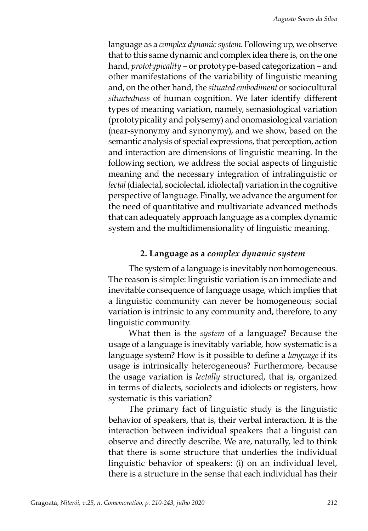language as a *complex dynamic system*. Following up, we observe that to this same dynamic and complex idea there is, on the one hand, *prototypicality* – or prototype-based categorization – and other manifestations of the variability of linguistic meaning and, on the other hand, the *situated embodiment* or sociocultural *situatedness* of human cognition. We later identify different types of meaning variation, namely, semasiological variation (prototypicality and polysemy) and onomasiological variation (near-synonymy and synonymy), and we show, based on the semantic analysis of special expressions, that perception, action and interaction are dimensions of linguistic meaning. In the following section, we address the social aspects of linguistic meaning and the necessary integration of intralinguistic or *lectal* (dialectal, sociolectal, idiolectal) variation in the cognitive perspective of language. Finally, we advance the argument for the need of quantitative and multivariate advanced methods that can adequately approach language as a complex dynamic system and the multidimensionality of linguistic meaning.

#### **2. Language as a** *complex dynamic system*

The system of a language is inevitably nonhomogeneous. The reason is simple: linguistic variation is an immediate and inevitable consequence of language usage, which implies that a linguistic community can never be homogeneous; social variation is intrinsic to any community and, therefore, to any linguistic community.

What then is the *system* of a language? Because the usage of a language is inevitably variable, how systematic is a language system? How is it possible to define a *language* if its usage is intrinsically heterogeneous? Furthermore, because the usage variation is *lectally* structured, that is, organized in terms of dialects, sociolects and idiolects or registers, how systematic is this variation?

The primary fact of linguistic study is the linguistic behavior of speakers, that is, their verbal interaction. It is the interaction between individual speakers that a linguist can observe and directly describe. We are, naturally, led to think that there is some structure that underlies the individual linguistic behavior of speakers: (i) on an individual level, there is a structure in the sense that each individual has their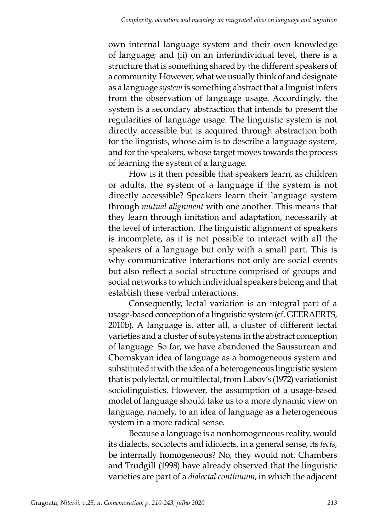own internal language system and their own knowledge of language; and (ii) on an interindividual level, there is a structure that is something shared by the different speakers of a community. However, what we usually think of and designate as a language *system* is something abstract that a linguist infers from the observation of language usage. Accordingly, the system is a secondary abstraction that intends to present the regularities of language usage. The linguistic system is not directly accessible but is acquired through abstraction both for the linguists, whose aim is to describe a language system, and for the speakers, whose target moves towards the process of learning the system of a language.

How is it then possible that speakers learn, as children or adults, the system of a language if the system is not directly accessible? Speakers learn their language system through *mutual alignment* with one another. This means that they learn through imitation and adaptation, necessarily at the level of interaction. The linguistic alignment of speakers is incomplete, as it is not possible to interact with all the speakers of a language but only with a small part. This is why communicative interactions not only are social events but also reflect a social structure comprised of groups and social networks to which individual speakers belong and that establish these verbal interactions.

Consequently, lectal variation is an integral part of a usage-based conception of a linguistic system (cf. GEERAERTS, 2010b). A language is, after all, a cluster of different lectal varieties and a cluster of subsystems in the abstract conception of language. So far, we have abandoned the Saussurean and Chomskyan idea of language as a homogeneous system and substituted it with the idea of a heterogeneous linguistic system that is polylectal, or multilectal, from Labov's (1972) variationist sociolinguistics. However, the assumption of a usage-based model of language should take us to a more dynamic view on language, namely, to an idea of language as a heterogeneous system in a more radical sense.

Because a language is a nonhomogeneous reality, would its dialects, sociolects and idiolects, in a general sense, its *lects*, be internally homogeneous? No, they would not. Chambers and Trudgill (1998) have already observed that the linguistic varieties are part of a *dialectal continuum*, in which the adjacent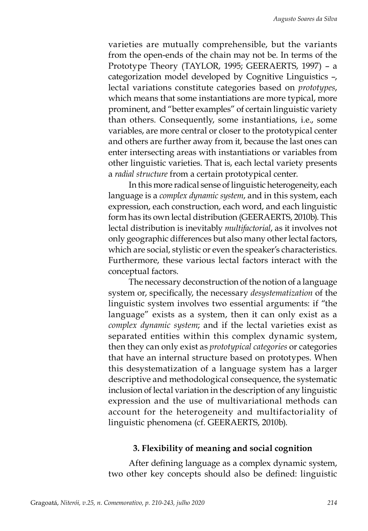varieties are mutually comprehensible, but the variants from the open-ends of the chain may not be. In terms of the Prototype Theory (TAYLOR, 1995; GEERAERTS, 1997) – a categorization model developed by Cognitive Linguistics –, lectal variations constitute categories based on *prototypes*, which means that some instantiations are more typical, more prominent, and "better examples" of certain linguistic variety than others. Consequently, some instantiations, i.e., some variables, are more central or closer to the prototypical center and others are further away from it, because the last ones can enter intersecting areas with instantiations or variables from other linguistic varieties. That is, each lectal variety presents a *radial structure* from a certain prototypical center.

In this more radical sense of linguistic heterogeneity, each language is a *complex dynamic system*, and in this system, each expression, each construction, each word, and each linguistic form has its own lectal distribution (GEERAERTS, 2010b). This lectal distribution is inevitably *multifactorial*, as it involves not only geographic differences but also many other lectal factors, which are social, stylistic or even the speaker's characteristics. Furthermore, these various lectal factors interact with the conceptual factors.

The necessary deconstruction of the notion of a language system or, specifically, the necessary *desystematization* of the linguistic system involves two essential arguments: if "the language" exists as a system, then it can only exist as a *complex dynamic system*; and if the lectal varieties exist as separated entities within this complex dynamic system, then they can only exist as *prototypical categories* or categories that have an internal structure based on prototypes. When this desystematization of a language system has a larger descriptive and methodological consequence, the systematic inclusion of lectal variation in the description of any linguistic expression and the use of multivariational methods can account for the heterogeneity and multifactoriality of linguistic phenomena (cf. GEERAERTS, 2010b).

## **3. Flexibility of meaning and social cognition**

After defining language as a complex dynamic system, two other key concepts should also be defined: linguistic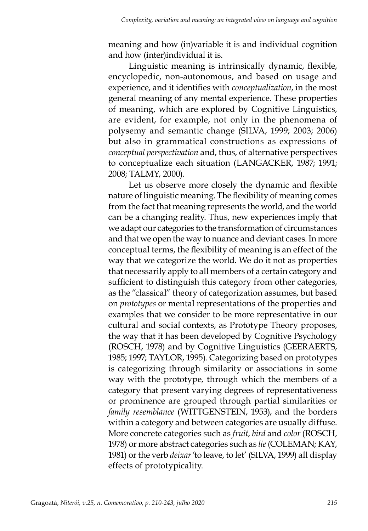meaning and how (in)variable it is and individual cognition and how (inter)individual it is.

Linguistic meaning is intrinsically dynamic, flexible, encyclopedic, non-autonomous, and based on usage and experience, and it identifies with *conceptualization*, in the most general meaning of any mental experience. These properties of meaning, which are explored by Cognitive Linguistics, are evident, for example, not only in the phenomena of polysemy and semantic change (SILVA, 1999; 2003; 2006) but also in grammatical constructions as expressions of *conceptual perspectivation* and, thus, of alternative perspectives to conceptualize each situation (LANGACKER, 1987; 1991; 2008; TALMY, 2000).

Let us observe more closely the dynamic and flexible nature of linguistic meaning. The flexibility of meaning comes from the fact that meaning represents the world, and the world can be a changing reality. Thus, new experiences imply that we adapt our categories to the transformation of circumstances and that we open the way to nuance and deviant cases. In more conceptual terms, the flexibility of meaning is an effect of the way that we categorize the world. We do it not as properties that necessarily apply to all members of a certain category and sufficient to distinguish this category from other categories, as the "classical" theory of categorization assumes, but based on *prototypes* or mental representations of the properties and examples that we consider to be more representative in our cultural and social contexts, as Prototype Theory proposes, the way that it has been developed by Cognitive Psychology (ROSCH, 1978) and by Cognitive Linguistics (GEERAERTS, 1985; 1997; TAYLOR, 1995). Categorizing based on prototypes is categorizing through similarity or associations in some way with the prototype, through which the members of a category that present varying degrees of representativeness or prominence are grouped through partial similarities or *family resemblance* (WITTGENSTEIN, 1953), and the borders within a category and between categories are usually diffuse. More concrete categories such as *fruit*, *bird* and *color* (ROSCH, 1978) or more abstract categories such as *lie* (COLEMAN; KAY, 1981) or the verb *deixar* 'to leave, to let' (SILVA, 1999) all display effects of prototypicality.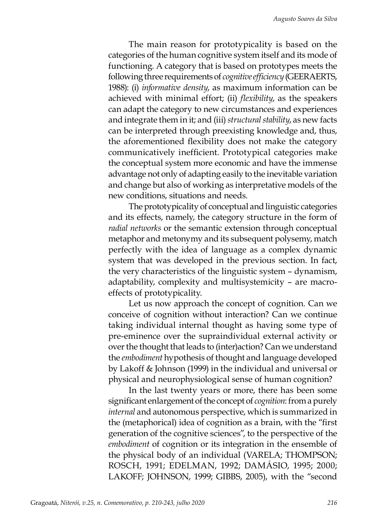The main reason for prototypicality is based on the categories of the human cognitive system itself and its mode of functioning. A category that is based on prototypes meets the following three requirements of *cognitive efficiency* (GEERAERTS, 1988): (i) *informative density*, as maximum information can be achieved with minimal effort; (ii) *flexibility*, as the speakers can adapt the category to new circumstances and experiences and integrate them in it; and (iii) *structural stability*, as new facts can be interpreted through preexisting knowledge and, thus, the aforementioned flexibility does not make the category communicatively inefficient. Prototypical categories make the conceptual system more economic and have the immense advantage not only of adapting easily to the inevitable variation and change but also of working as interpretative models of the new conditions, situations and needs.

The prototypicality of conceptual and linguistic categories and its effects, namely, the category structure in the form of *radial networks* or the semantic extension through conceptual metaphor and metonymy and its subsequent polysemy, match perfectly with the idea of language as a complex dynamic system that was developed in the previous section. In fact, the very characteristics of the linguistic system – dynamism, adaptability, complexity and multisystemicity – are macroeffects of prototypicality.

Let us now approach the concept of cognition. Can we conceive of cognition without interaction? Can we continue taking individual internal thought as having some type of pre-eminence over the supraindividual external activity or over the thought that leads to (inter)action? Can we understand the *embodiment* hypothesis of thought and language developed by Lakoff & Johnson (1999) in the individual and universal or physical and neurophysiological sense of human cognition?

In the last twenty years or more, there has been some significant enlargement of the concept of *cognition*: from a purely *internal* and autonomous perspective, which is summarized in the (metaphorical) idea of cognition as a brain, with the "first generation of the cognitive sciences", to the perspective of the *embodiment* of cognition or its integration in the ensemble of the physical body of an individual (VARELA; THOMPSON; ROSCH, 1991; EDELMAN, 1992; DAMÁSIO, 1995; 2000; LAKOFF; JOHNSON, 1999; GIBBS, 2005), with the "second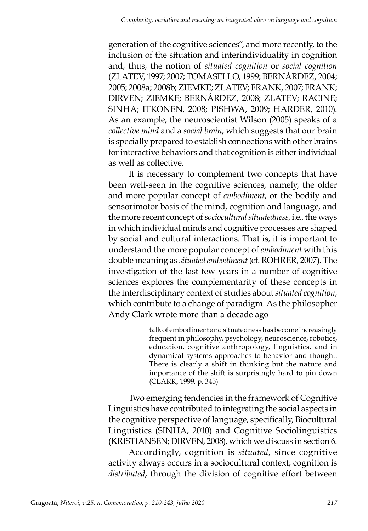generation of the cognitive sciences", and more recently, to the inclusion of the situation and interindividuality in cognition and, thus, the notion of *situated cognition* or *social cognition* (ZLATEV, 1997; 2007; TOMASELLO, 1999; BERNÁRDEZ, 2004; 2005; 2008a; 2008b; ZIEMKE; ZLATEV; FRANK, 2007; FRANK; DIRVEN; ZIEMKE; BERNÁRDEZ, 2008; ZLATEV; RACINE; SINHA; ITKONEN, 2008; PISHWA, 2009; HARDER, 2010). As an example, the neuroscientist Wilson (2005) speaks of a *collective mind* and a *social brain*, which suggests that our brain is specially prepared to establish connections with other brains for interactive behaviors and that cognition is either individual as well as collective.

It is necessary to complement two concepts that have been well-seen in the cognitive sciences, namely, the older and more popular concept of *embodiment*, or the bodily and sensorimotor basis of the mind, cognition and language, and the more recent concept of *sociocultural situatedness*, i.e., the ways in which individual minds and cognitive processes are shaped by social and cultural interactions. That is, it is important to understand the more popular concept of *embodiment* with this double meaning as *situated embodiment* (cf. ROHRER, 2007). The investigation of the last few years in a number of cognitive sciences explores the complementarity of these concepts in the interdisciplinary context of studies about *situated cognition*, which contribute to a change of paradigm. As the philosopher Andy Clark wrote more than a decade ago

> talk of embodiment and situatedness has become increasingly frequent in philosophy, psychology, neuroscience, robotics, education, cognitive anthropology, linguistics, and in dynamical systems approaches to behavior and thought. There is clearly a shift in thinking but the nature and importance of the shift is surprisingly hard to pin down (CLARK, 1999, p. 345)

Two emerging tendencies in the framework of Cognitive Linguistics have contributed to integrating the social aspects in the cognitive perspective of language, specifically, Biocultural Linguistics (SINHA, 2010) and Cognitive Sociolinguistics (KRISTIANSEN; DIRVEN, 2008), which we discuss in section 6.

Accordingly, cognition is *situated*, since cognitive activity always occurs in a sociocultural context; cognition is *distributed*, through the division of cognitive effort between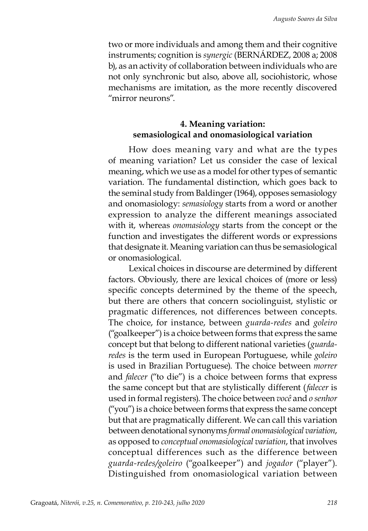two or more individuals and among them and their cognitive instruments; cognition is *synergic* (BERNÁRDEZ, 2008 a; 2008 b), as an activity of collaboration between individuals who are not only synchronic but also, above all, sociohistoric, whose mechanisms are imitation, as the more recently discovered "mirror neurons".

# **4. Meaning variation: semasiological and onomasiological variation**

How does meaning vary and what are the types of meaning variation? Let us consider the case of lexical meaning, which we use as a model for other types of semantic variation. The fundamental distinction, which goes back to the seminal study from Baldinger (1964), opposes semasiology and onomasiology: *semasiology* starts from a word or another expression to analyze the different meanings associated with it, whereas *onomasiology* starts from the concept or the function and investigates the different words or expressions that designate it. Meaning variation can thus be semasiological or onomasiological.

Lexical choices in discourse are determined by different factors. Obviously, there are lexical choices of (more or less) specific concepts determined by the theme of the speech, but there are others that concern sociolinguist, stylistic or pragmatic differences, not differences between concepts. The choice, for instance, between *guarda-redes* and *goleiro* ("goalkeeper") is a choice between forms that express the same concept but that belong to different national varieties (*guardaredes* is the term used in European Portuguese, while *goleiro* is used in Brazilian Portuguese). The choice between *morrer* and *falecer* ("to die") is a choice between forms that express the same concept but that are stylistically different (*falecer* is used in formal registers). The choice between *você* and *o senhor* ("you") is a choice between forms that express the same concept but that are pragmatically different. We can call this variation between denotational synonyms *formal onomasiological variation*, as opposed to *conceptual onomasiological variation*, that involves conceptual differences such as the difference between *guarda-redes/goleiro* ("goalkeeper") and *jogador* ("player"). Distinguished from onomasiological variation between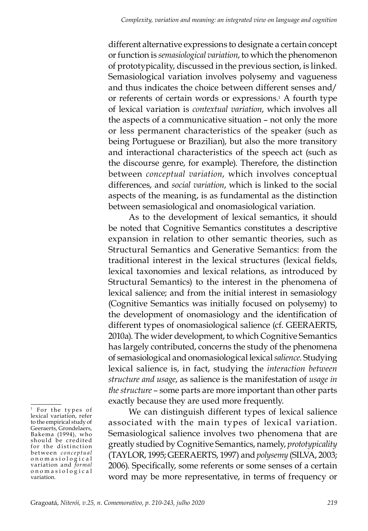different alternative expressions to designate a certain concept or function is *semasiological variation*, to which the phenomenon of prototypicality, discussed in the previous section, is linked. Semasiological variation involves polysemy and vagueness and thus indicates the choice between different senses and/ or referents of certain words or expressions.1 A fourth type of lexical variation is *contextual variation*, which involves all the aspects of a communicative situation – not only the more or less permanent characteristics of the speaker (such as being Portuguese or Brazilian), but also the more transitory and interactional characteristics of the speech act (such as the discourse genre, for example). Therefore, the distinction between *conceptual variation*, which involves conceptual differences, and *social variation*, which is linked to the social aspects of the meaning, is as fundamental as the distinction between semasiological and onomasiological variation.

As to the development of lexical semantics, it should be noted that Cognitive Semantics constitutes a descriptive expansion in relation to other semantic theories, such as Structural Semantics and Generative Semantics: from the traditional interest in the lexical structures (lexical fields, lexical taxonomies and lexical relations, as introduced by Structural Semantics) to the interest in the phenomena of lexical salience; and from the initial interest in semasiology (Cognitive Semantics was initially focused on polysemy) to the development of onomasiology and the identification of different types of onomasiological salience (cf. GEERAERTS, 2010a). The wider development, to which Cognitive Semantics has largely contributed, concerns the study of the phenomena of semasiological and onomasiological lexical *salience*. Studying lexical salience is, in fact, studying the *interaction between structure and usage*, as salience is the manifestation of *usage in the structure* – some parts are more important than other parts exactly because they are used more frequently.

We can distinguish different types of lexical salience associated with the main types of lexical variation. Semasiological salience involves two phenomena that are greatly studied by Cognitive Semantics, namely, *prototypicality* (TAYLOR, 1995; GEERAERTS, 1997) and *polysemy* (SILVA, 2003; 2006). Specifically, some referents or some senses of a certain word may be more representative, in terms of frequency or

<sup>&</sup>lt;sup>1</sup> For the types of lexical variation, refer to the empirical study of Geeraerts, Grondelaers, Bakema (1994), who should be credited for the distinction between *conceptual* o n o m a s i o l o g i c a l variation and *formal*  onomasiological variation.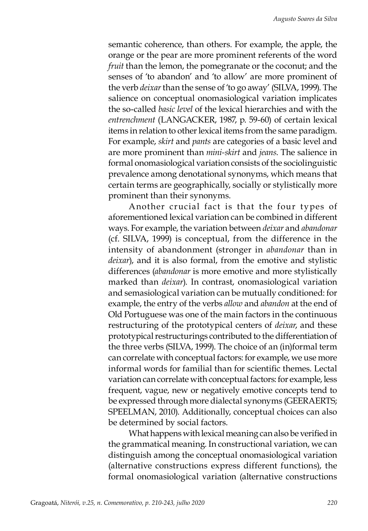semantic coherence, than others. For example, the apple, the orange or the pear are more prominent referents of the word *fruit* than the lemon, the pomegranate or the coconut; and the senses of 'to abandon' and 'to allow' are more prominent of the verb *deixar* than the sense of 'to go away' (SILVA, 1999). The salience on conceptual onomasiological variation implicates the so-called *basic level* of the lexical hierarchies and with the *entrenchment* (LANGACKER, 1987, p. 59-60) of certain lexical items in relation to other lexical items from the same paradigm. For example, *skirt* and *pants* are categories of a basic level and are more prominent than *mini-skirt* and *jeans*. The salience in formal onomasiological variation consists of the sociolinguistic prevalence among denotational synonyms, which means that certain terms are geographically, socially or stylistically more prominent than their synonyms.

Another crucial fact is that the four types of aforementioned lexical variation can be combined in different ways. For example, the variation between *deixar* and *abandonar* (cf. SILVA, 1999) is conceptual, from the difference in the intensity of abandonment (stronger in *abandonar* than in *deixar*), and it is also formal, from the emotive and stylistic differences (*abandonar* is more emotive and more stylistically marked than *deixar*). In contrast, onomasiological variation and semasiological variation can be mutually conditioned: for example, the entry of the verbs *allow* and *abandon* at the end of Old Portuguese was one of the main factors in the continuous restructuring of the prototypical centers of *deixar*, and these prototypical restructurings contributed to the differentiation of the three verbs (SILVA, 1999). The choice of an (in)formal term can correlate with conceptual factors: for example, we use more informal words for familial than for scientific themes. Lectal variation can correlate with conceptual factors: for example, less frequent, vague, new or negatively emotive concepts tend to be expressed through more dialectal synonyms (GEERAERTS; SPEELMAN, 2010). Additionally, conceptual choices can also be determined by social factors.

What happens with lexical meaning can also be verified in the grammatical meaning. In constructional variation, we can distinguish among the conceptual onomasiological variation (alternative constructions express different functions), the formal onomasiological variation (alternative constructions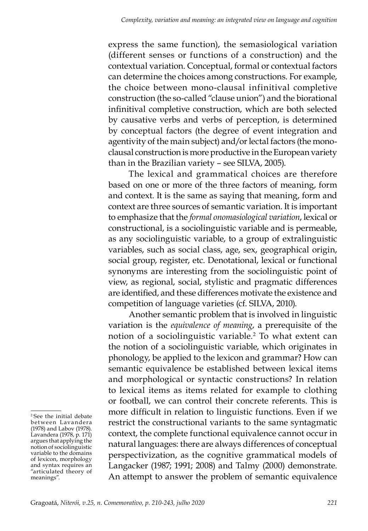express the same function), the semasiological variation (different senses or functions of a construction) and the contextual variation. Conceptual, formal or contextual factors can determine the choices among constructions. For example, the choice between mono-clausal infinitival completive construction (the so-called "clause union") and the biorational infinitival completive construction, which are both selected by causative verbs and verbs of perception, is determined by conceptual factors (the degree of event integration and agentivity of the main subject) and/or lectal factors (the monoclausal construction is more productive in the European variety than in the Brazilian variety – see SILVA, 2005).

The lexical and grammatical choices are therefore based on one or more of the three factors of meaning, form and context. It is the same as saying that meaning, form and context are three sources of semantic variation. It is important to emphasize that the *formal onomasiological variation*, lexical or constructional, is a sociolinguistic variable and is permeable, as any sociolinguistic variable, to a group of extralinguistic variables, such as social class, age, sex, geographical origin, social group, register, etc. Denotational, lexical or functional synonyms are interesting from the sociolinguistic point of view, as regional, social, stylistic and pragmatic differences are identified, and these differences motivate the existence and competition of language varieties (cf. SILVA, 2010).

Another semantic problem that is involved in linguistic variation is the *equivalence of meaning*, a prerequisite of the notion of a sociolinguistic variable.2 To what extent can the notion of a sociolinguistic variable, which originates in phonology, be applied to the lexicon and grammar? How can semantic equivalence be established between lexical items and morphological or syntactic constructions? In relation to lexical items as items related for example to clothing or football, we can control their concrete referents. This is more difficult in relation to linguistic functions. Even if we restrict the constructional variants to the same syntagmatic context, the complete functional equivalence cannot occur in natural languages: there are always differences of conceptual perspectivization, as the cognitive grammatical models of Langacker (1987; 1991; 2008) and Talmy (2000) demonstrate. An attempt to answer the problem of semantic equivalence

<sup>2</sup> See the initial debate bet ween Lava ndera (1978) and Labov (1978). Lavandera (1978, p. 171) argues that applying the notion of sociolinguistic variable to the domains of lexicon, morphology and syntax requires an "articulated theory of meanings".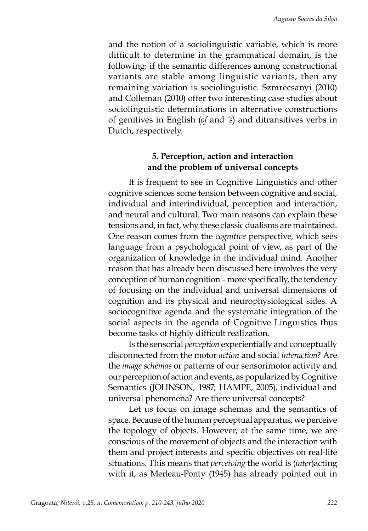and the notion of a sociolinguistic variable, which is more difficult to determine in the grammatical domain, is the following: if the semantic differences among constructional variants are stable among linguistic variants, then any remaining variation is sociolinguistic. Szmrecsanyi (2010) and Colleman (2010) offer two interesting case studies about sociolinguistic determinations in alternative constructions of genitives in English (*of* and *'s*) and ditransitives verbs in Dutch, respectively.

## **5. Perception, action and interaction and the problem of universal concepts**

It is frequent to see in Cognitive Linguistics and other cognitive sciences some tension between cognitive and social, individual and interindividual, perception and interaction, and neural and cultural. Two main reasons can explain these tensions and, in fact, why these classic dualisms are maintained. One reason comes from the *cognitive* perspective, which sees language from a psychological point of view, as part of the organization of knowledge in the individual mind. Another reason that has already been discussed here involves the very conception of human cognition – more specifically, the tendency of focusing on the individual and universal dimensions of cognition and its physical and neurophysiological sides. A sociocognitive agenda and the systematic integration of the social aspects in the agenda of Cognitive Linguistics thus become tasks of highly difficult realization.

Is the sensorial *perception* experientially and conceptually disconnected from the motor *action* and social *interaction*? Are the *image schemas* or patterns of our sensorimotor activity and our perception of action and events, as popularized by Cognitive Semantics (JOHNSON, 1987; HAMPE, 2005), individual and universal phenomena? Are there universal concepts?

Let us focus on image schemas and the semantics of space. Because of the human perceptual apparatus, we perceive the topology of objects. However, at the same time, we are conscious of the movement of objects and the interaction with them and project interests and specific objectives on real-life situations. This means that *perceiving* the world is (*inter*)acting with it, as Merleau-Ponty (1945) has already pointed out in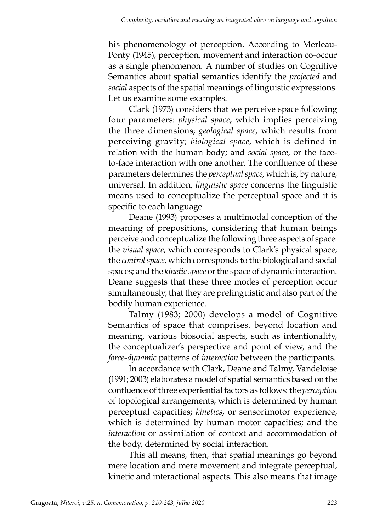his phenomenology of perception. According to Merleau-Ponty (1945), perception, movement and interaction co-occur as a single phenomenon. A number of studies on Cognitive Semantics about spatial semantics identify the *projected* and *social* aspects of the spatial meanings of linguistic expressions. Let us examine some examples.

Clark (1973) considers that we perceive space following four parameters: *physical space*, which implies perceiving the three dimensions; *geological space*, which results from perceiving gravity; *biological space*, which is defined in relation with the human body; and *social space*, or the faceto-face interaction with one another. The confluence of these parameters determines the *perceptual space*, which is, by nature, universal. In addition, *linguistic space* concerns the linguistic means used to conceptualize the perceptual space and it is specific to each language.

Deane (1993) proposes a multimodal conception of the meaning of prepositions, considering that human beings perceive and conceptualize the following three aspects of space: the *visual space*, which corresponds to Clark's physical space; the *control space*, which corresponds to the biological and social spaces; and the *kinetic space* or the space of dynamic interaction. Deane suggests that these three modes of perception occur simultaneously, that they are prelinguistic and also part of the bodily human experience.

Talmy (1983; 2000) develops a model of Cognitive Semantics of space that comprises, beyond location and meaning, various biosocial aspects, such as intentionality, the conceptualizer's perspective and point of view, and the *force-dynamic* patterns of *interaction* between the participants.

In accordance with Clark, Deane and Talmy, Vandeloise (1991; 2003) elaborates a model of spatial semantics based on the confluence of three experiential factors as follows: the *perception* of topological arrangements, which is determined by human perceptual capacities; *kinetics*, or sensorimotor experience, which is determined by human motor capacities; and the *interaction* or assimilation of context and accommodation of the body, determined by social interaction.

This all means, then, that spatial meanings go beyond mere location and mere movement and integrate perceptual, kinetic and interactional aspects. This also means that image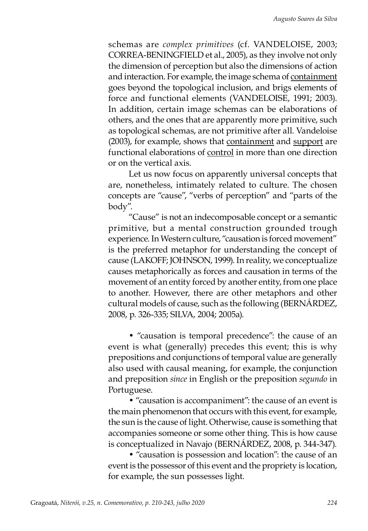schemas are *complex primitives* (cf. VANDELOISE, 2003; CORREA-BENINGFIELD et al., 2005), as they involve not only the dimension of perception but also the dimensions of action and interaction. For example, the image schema of containment goes beyond the topological inclusion, and brigs elements of force and functional elements (VANDELOISE, 1991; 2003). In addition, certain image schemas can be elaborations of others, and the ones that are apparently more primitive, such as topological schemas, are not primitive after all. Vandeloise (2003), for example, shows that containment and support are functional elaborations of control in more than one direction or on the vertical axis.

Let us now focus on apparently universal concepts that are, nonetheless, intimately related to culture. The chosen concepts are "cause", "verbs of perception" and "parts of the body".

"Cause" is not an indecomposable concept or a semantic primitive, but a mental construction grounded trough experience. In Western culture, "causation is forced movement" is the preferred metaphor for understanding the concept of cause (LAKOFF; JOHNSON, 1999). In reality, we conceptualize causes metaphorically as forces and causation in terms of the movement of an entity forced by another entity, from one place to another. However, there are other metaphors and other cultural models of cause, such as the following (BERNÁRDEZ, 2008, p. 326-335; SILVA, 2004; 2005a).

• "causation is temporal precedence": the cause of an event is what (generally) precedes this event; this is why prepositions and conjunctions of temporal value are generally also used with causal meaning, for example, the conjunction and preposition *since* in English or the preposition *segundo* in Portuguese.

• "causation is accompaniment": the cause of an event is the main phenomenon that occurs with this event, for example, the sun is the cause of light. Otherwise, cause is something that accompanies someone or some other thing. This is how cause is conceptualized in Navajo (BERNÁRDEZ, 2008, p. 344-347).

• "causation is possession and location": the cause of an event is the possessor of this event and the propriety is location, for example, the sun possesses light.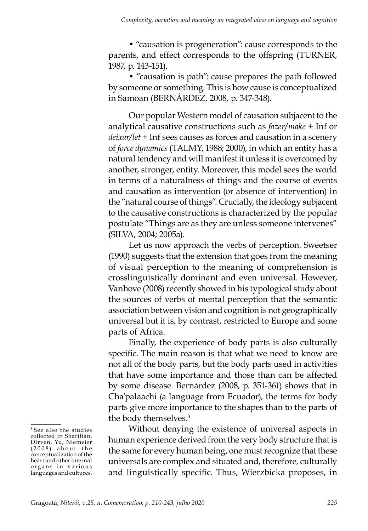• "causation is progeneration": cause corresponds to the parents, and effect corresponds to the offspring (TURNER, 1987, p. 143-151).

• "causation is path": cause prepares the path followed by someone or something. This is how cause is conceptualized in Samoan (BERNÁRDEZ, 2008, p. 347-348).

Our popular Western model of causation subjacent to the analytical causative constructions such as *fazer*/*make* + Inf or *deixar/let* + Inf sees causes as forces and causation in a scenery of *force dynamics* (TALMY, 1988; 2000), in which an entity has a natural tendency and will manifest it unless it is overcomed by another, stronger, entity. Moreover, this model sees the world in terms of a naturalness of things and the course of events and causation as intervention (or absence of intervention) in the "natural course of things". Crucially, the ideology subjacent to the causative constructions is characterized by the popular postulate "Things are as they are unless someone intervenes" (SILVA, 2004; 2005a).

Let us now approach the verbs of perception. Sweetser (1990) suggests that the extension that goes from the meaning of visual perception to the meaning of comprehension is crosslinguistically dominant and even universal. However, Vanhove (2008) recently showed in his typological study about the sources of verbs of mental perception that the semantic association between vision and cognition is not geographically universal but it is, by contrast, restricted to Europe and some parts of Africa.

Finally, the experience of body parts is also culturally specific. The main reason is that what we need to know are not all of the body parts, but the body parts used in activities that have some importance and those than can be affected by some disease. Bernárdez (2008, p. 351-361) shows that in Cha'palaachi (a language from Ecuador), the terms for body parts give more importance to the shapes than to the parts of the body themselves.<sup>3</sup>

Without denying the existence of universal aspects in human experience derived from the very body structure that is the same for every human being, one must recognize that these universals are complex and situated and, therefore, culturally and linguistically specific. Thus, Wierzbicka proposes, in

<sup>3</sup> See also the studies collected in Sharifian, Dirven, Yu, Niemeier  $(2008)$  about the conceptualization of the heart and other internal organs in various languages and cultures.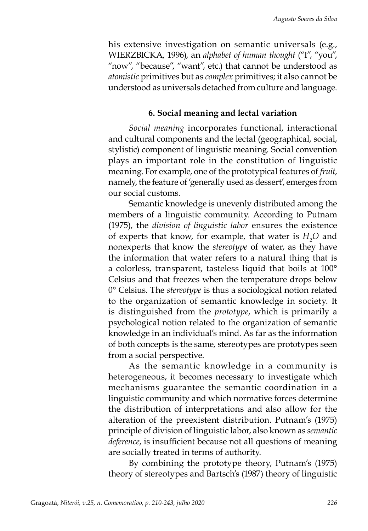his extensive investigation on semantic universals (e.g., WIERZBICKA, 1996), an *alphabet of human thought* ("I", "you", "now", "because", "want", etc.) that cannot be understood as *atomistic* primitives but as *complex* primitives; it also cannot be understood as universals detached from culture and language.

### **6. Social meaning and lectal variation**

*Social meaning* incorporates functional, interactional and cultural components and the lectal (geographical, social, stylistic) component of linguistic meaning. Social convention plays an important role in the constitution of linguistic meaning. For example, one of the prototypical features of *fruit*, namely, the feature of 'generally used as dessert', emerges from our social customs.

Semantic knowledge is unevenly distributed among the members of a linguistic community. According to Putnam (1975), the *division of linguistic labor* ensures the existence of experts that know, for example, that water is  $H_2O$  and nonexperts that know the *stereotype* of water, as they have the information that water refers to a natural thing that is a colorless, transparent, tasteless liquid that boils at 100° Celsius and that freezes when the temperature drops below 0° Celsius. The *stereotype* is thus a sociological notion related to the organization of semantic knowledge in society. It is distinguished from the *prototype*, which is primarily a psychological notion related to the organization of semantic knowledge in an individual's mind. As far as the information of both concepts is the same, stereotypes are prototypes seen from a social perspective.

As the semantic knowledge in a community is heterogeneous, it becomes necessary to investigate which mechanisms guarantee the semantic coordination in a linguistic community and which normative forces determine the distribution of interpretations and also allow for the alteration of the preexistent distribution. Putnam's (1975) principle of division of linguistic labor, also known as *semantic deference*, is insufficient because not all questions of meaning are socially treated in terms of authority.

By combining the prototype theory, Putnam's (1975) theory of stereotypes and Bartsch's (1987) theory of linguistic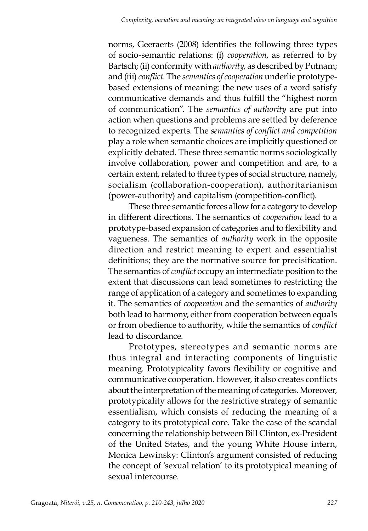norms, Geeraerts (2008) identifies the following three types of socio-semantic relations: (i) *cooperation*, as referred to by Bartsch; (ii) conformity with *authority*, as described by Putnam; and (iii) *conflict*. The *semantics of cooperation* underlie prototypebased extensions of meaning: the new uses of a word satisfy communicative demands and thus fulfill the "highest norm of communication". The *semantics of authority* are put into action when questions and problems are settled by deference to recognized experts. The *semantics of conflict and competition* play a role when semantic choices are implicitly questioned or explicitly debated. These three semantic norms sociologically involve collaboration, power and competition and are, to a certain extent, related to three types of social structure, namely, socialism (collaboration-cooperation), authoritarianism (power-authority) and capitalism (competition-conflict).

These three semantic forces allow for a category to develop in different directions. The semantics of *cooperation* lead to a prototype-based expansion of categories and to flexibility and vagueness. The semantics of *authority* work in the opposite direction and restrict meaning to expert and essentialist definitions; they are the normative source for precisification. The semantics of *conflict* occupy an intermediate position to the extent that discussions can lead sometimes to restricting the range of application of a category and sometimes to expanding it. The semantics of *cooperation* and the semantics of *authority* both lead to harmony, either from cooperation between equals or from obedience to authority, while the semantics of *conflict* lead to discordance.

Prototypes, stereotypes and semantic norms are thus integral and interacting components of linguistic meaning. Prototypicality favors flexibility or cognitive and communicative cooperation. However, it also creates conflicts about the interpretation of the meaning of categories. Moreover, prototypicality allows for the restrictive strategy of semantic essentialism, which consists of reducing the meaning of a category to its prototypical core. Take the case of the scandal concerning the relationship between Bill Clinton, ex-President of the United States, and the young White House intern, Monica Lewinsky: Clinton's argument consisted of reducing the concept of 'sexual relation' to its prototypical meaning of sexual intercourse.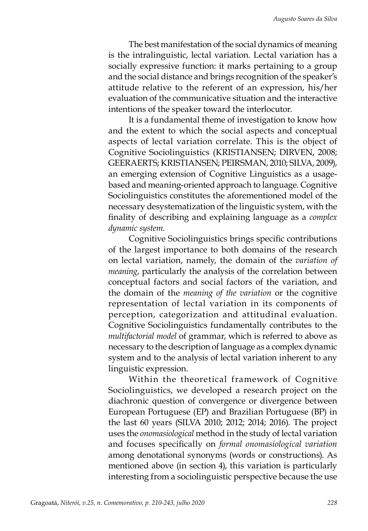The best manifestation of the social dynamics of meaning is the intralinguistic, lectal variation. Lectal variation has a socially expressive function: it marks pertaining to a group and the social distance and brings recognition of the speaker's attitude relative to the referent of an expression, his/her evaluation of the communicative situation and the interactive intentions of the speaker toward the interlocutor.

It is a fundamental theme of investigation to know how and the extent to which the social aspects and conceptual aspects of lectal variation correlate. This is the object of Cognitive Sociolinguistics (KRISTIANSEN; DIRVEN, 2008; GEERAERTS; KRISTIANSEN; PEIRSMAN, 2010; SILVA, 2009), an emerging extension of Cognitive Linguistics as a usagebased and meaning-oriented approach to language. Cognitive Sociolinguistics constitutes the aforementioned model of the necessary desystematization of the linguistic system, with the finality of describing and explaining language as a *complex dynamic system*.

Cognitive Sociolinguistics brings specific contributions of the largest importance to both domains of the research on lectal variation, namely, the domain of the *variation of meaning*, particularly the analysis of the correlation between conceptual factors and social factors of the variation, and the domain of the *meaning of the variation* or the cognitive representation of lectal variation in its components of perception, categorization and attitudinal evaluation. Cognitive Sociolinguistics fundamentally contributes to the *multifactorial model* of grammar, which is referred to above as necessary to the description of language as a complex dynamic system and to the analysis of lectal variation inherent to any linguistic expression.

Within the theoretical framework of Cognitive Sociolinguistics, we developed a research project on the diachronic question of convergence or divergence between European Portuguese (EP) and Brazilian Portuguese (BP) in the last 60 years (SILVA 2010; 2012; 2014; 2016). The project uses the *onomasiological* method in the study of lectal variation and focuses specifically on *formal onomasiological variation* among denotational synonyms (words or constructions). As mentioned above (in section 4), this variation is particularly interesting from a sociolinguistic perspective because the use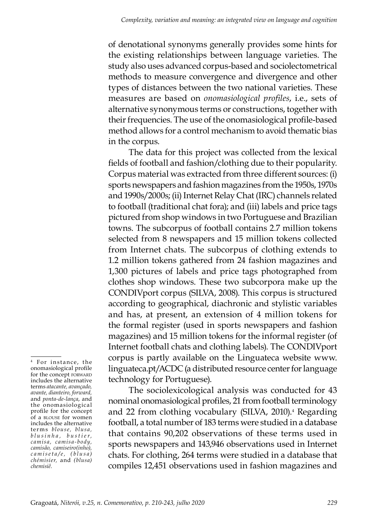of denotational synonyms generally provides some hints for the existing relationships between language varieties. The study also uses advanced corpus-based and sociolectometrical methods to measure convergence and divergence and other types of distances between the two national varieties. These measures are based on *onomasiological profiles*, i.e., sets of alternative synonymous terms or constructions, together with their frequencies. The use of the onomasiological profile-based method allows for a control mechanism to avoid thematic bias in the corpus.

The data for this project was collected from the lexical fields of football and fashion/clothing due to their popularity. Corpus material was extracted from three different sources: (i) sports newspapers and fashion magazines from the 1950s, 1970s and 1990s/2000s; (ii) Internet Relay Chat (IRC) channels related to football (traditional chat fora); and (iii) labels and price tags pictured from shop windows in two Portuguese and Brazilian towns. The subcorpus of football contains 2.7 million tokens selected from 8 newspapers and 15 million tokens collected from Internet chats. The subcorpus of clothing extends to 1.2 million tokens gathered from 24 fashion magazines and 1,300 pictures of labels and price tags photographed from clothes shop windows. These two subcorpora make up the CONDIVport corpus (SILVA, 2008). This corpus is structured according to geographical, diachronic and stylistic variables and has, at present, an extension of 4 million tokens for the formal register (used in sports newspapers and fashion magazines) and 15 million tokens for the informal register (of Internet football chats and clothing labels). The CONDIVport corpus is partly available on the Linguateca website www. linguateca.pt/ACDC (a distributed resource center for language technology for Portuguese).

The sociolexicological analysis was conducted for 43 nominal onomasiological profiles, 21 from football terminology and 22 from clothing vocabulary (SILVA, 2010).4 Regarding football, a total number of 183 terms were studied in a database that contains 90,202 observations of these terms used in sports newspapers and 143,946 observations used in Internet chats. For clothing, 264 terms were studied in a database that compiles 12,451 observations used in fashion magazines and

<sup>&</sup>lt;sup>4</sup> For instance, the onomasiological profile for the concept FORWARD includes the alternative terms *atacante, avançado, avante, dianteiro, forward,* and *ponta-de-lança*, and the onomasiological profile for the concept of a blouse for women includes the alternative terms *blouse, blusa, b l u s i n h a , b u s t i e r , camisa, camisa- body, camisão, camiseiro(inho), c a m i s e t a / e , ( b l u s a ) chémisier,* and *(blusa) chemisiê.*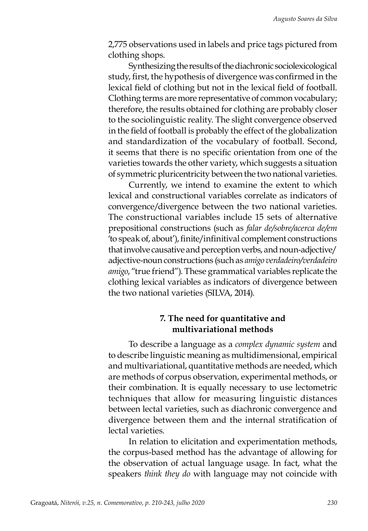2,775 observations used in labels and price tags pictured from clothing shops.

Synthesizing the results of the diachronic sociolexicological study, first, the hypothesis of divergence was confirmed in the lexical field of clothing but not in the lexical field of football. Clothing terms are more representative of common vocabulary; therefore, the results obtained for clothing are probably closer to the sociolinguistic reality. The slight convergence observed in the field of football is probably the effect of the globalization and standardization of the vocabulary of football. Second, it seems that there is no specific orientation from one of the varieties towards the other variety, which suggests a situation of symmetric pluricentricity between the two national varieties.

Currently, we intend to examine the extent to which lexical and constructional variables correlate as indicators of convergence/divergence between the two national varieties. The constructional variables include 15 sets of alternative prepositional constructions (such as *falar de/sobre/acerca de/em* 'to speak of, about'), finite/infinitival complement constructions that involve causative and perception verbs, and noun-adjective/ adjective-noun constructions (such as *amigo verdadeiro/verdadeiro amigo*, "true friend"). These grammatical variables replicate the clothing lexical variables as indicators of divergence between the two national varieties (SILVA, 2014).

## **7. The need for quantitative and multivariational methods**

To describe a language as a *complex dynamic system* and to describe linguistic meaning as multidimensional, empirical and multivariational, quantitative methods are needed, which are methods of corpus observation, experimental methods, or their combination. It is equally necessary to use lectometric techniques that allow for measuring linguistic distances between lectal varieties, such as diachronic convergence and divergence between them and the internal stratification of lectal varieties.

In relation to elicitation and experimentation methods, the corpus-based method has the advantage of allowing for the observation of actual language usage. In fact, what the speakers *think they do* with language may not coincide with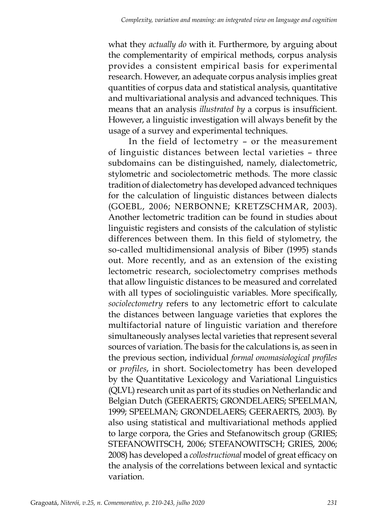what they *actually do* with it. Furthermore, by arguing about the complementarity of empirical methods, corpus analysis provides a consistent empirical basis for experimental research. However, an adequate corpus analysis implies great quantities of corpus data and statistical analysis, quantitative and multivariational analysis and advanced techniques. This means that an analysis *illustrated by* a corpus is insufficient. However, a linguistic investigation will always benefit by the usage of a survey and experimental techniques.

In the field of lectometry – or the measurement of linguistic distances between lectal varieties – three subdomains can be distinguished, namely, dialectometric, stylometric and sociolectometric methods. The more classic tradition of dialectometry has developed advanced techniques for the calculation of linguistic distances between dialects (GOEBL, 2006; NERBONNE; KRETZSCHMAR, 2003). Another lectometric tradition can be found in studies about linguistic registers and consists of the calculation of stylistic differences between them. In this field of stylometry, the so-called multidimensional analysis of Biber (1995) stands out. More recently, and as an extension of the existing lectometric research, sociolectometry comprises methods that allow linguistic distances to be measured and correlated with all types of sociolinguistic variables. More specifically, *sociolectometry* refers to any lectometric effort to calculate the distances between language varieties that explores the multifactorial nature of linguistic variation and therefore simultaneously analyses lectal varieties that represent several sources of variation. The basis for the calculations is, as seen in the previous section, individual *formal onomasiological profiles* or *profiles*, in short. Sociolectometry has been developed by the Quantitative Lexicology and Variational Linguistics (QLVL) research unit as part of its studies on Netherlandic and Belgian Dutch (GEERAERTS; GRONDELAERS; SPEELMAN, 1999; SPEELMAN; GRONDELAERS; GEERAERTS, 2003). By also using statistical and multivariational methods applied to large corpora, the Gries and Stefanowitsch group (GRIES; STEFANOWITSCH, 2006; STEFANOWITSCH; GRIES, 2006; 2008) has developed a *collostructional* model of great efficacy on the analysis of the correlations between lexical and syntactic variation.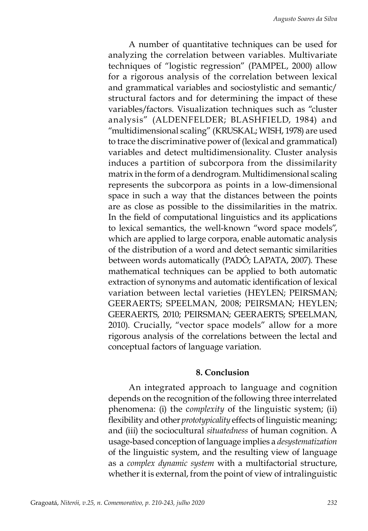A number of quantitative techniques can be used for analyzing the correlation between variables. Multivariate techniques of "logistic regression" (PAMPEL, 2000) allow for a rigorous analysis of the correlation between lexical and grammatical variables and sociostylistic and semantic/ structural factors and for determining the impact of these variables/factors. Visualization techniques such as "cluster analysis" (ALDENFELDER; BLASHFIELD, 1984) and "multidimensional scaling" (KRUSKAL; WISH, 1978) are used to trace the discriminative power of (lexical and grammatical) variables and detect multidimensionality. Cluster analysis induces a partition of subcorpora from the dissimilarity matrix in the form of a dendrogram. Multidimensional scaling represents the subcorpora as points in a low-dimensional space in such a way that the distances between the points are as close as possible to the dissimilarities in the matrix. In the field of computational linguistics and its applications to lexical semantics, the well-known "word space models", which are applied to large corpora, enable automatic analysis of the distribution of a word and detect semantic similarities between words automatically (PADÓ; LAPATA, 2007). These mathematical techniques can be applied to both automatic extraction of synonyms and automatic identification of lexical variation between lectal varieties (HEYLEN; PEIRSMAN; GEERAERTS; SPEELMAN, 2008; PEIRSMAN; HEYLEN; GEERAERTS, 2010; PEIRSMAN; GEERAERTS; SPEELMAN, 2010). Crucially, "vector space models" allow for a more rigorous analysis of the correlations between the lectal and conceptual factors of language variation.

#### **8. Conclusion**

An integrated approach to language and cognition depends on the recognition of the following three interrelated phenomena: (i) the c*omplexity* of the linguistic system; (ii) flexibility and other *prototypicality* effects of linguistic meaning; and (iii) the sociocultural *situatedness* of human cognition. A usage-based conception of language implies a *desystematization* of the linguistic system, and the resulting view of language as a *complex dynamic system* with a multifactorial structure, whether it is external, from the point of view of intralinguistic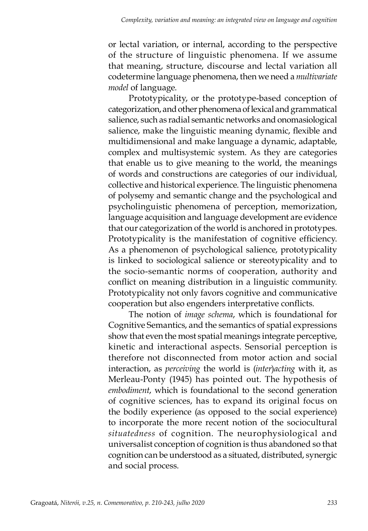or lectal variation, or internal, according to the perspective of the structure of linguistic phenomena. If we assume that meaning, structure, discourse and lectal variation all codetermine language phenomena, then we need a *multivariate model* of language.

Prototypicality, or the prototype-based conception of categorization, and other phenomena of lexical and grammatical salience, such as radial semantic networks and onomasiological salience, make the linguistic meaning dynamic, flexible and multidimensional and make language a dynamic, adaptable, complex and multisystemic system. As they are categories that enable us to give meaning to the world, the meanings of words and constructions are categories of our individual, collective and historical experience. The linguistic phenomena of polysemy and semantic change and the psychological and psycholinguistic phenomena of perception, memorization, language acquisition and language development are evidence that our categorization of the world is anchored in prototypes. Prototypicality is the manifestation of cognitive efficiency. As a phenomenon of psychological salience, prototypicality is linked to sociological salience or stereotypicality and to the socio-semantic norms of cooperation, authority and conflict on meaning distribution in a linguistic community. Prototypicality not only favors cognitive and communicative cooperation but also engenders interpretative conflicts.

The notion of *image schema*, which is foundational for Cognitive Semantics, and the semantics of spatial expressions show that even the most spatial meanings integrate perceptive, kinetic and interactional aspects. Sensorial perception is therefore not disconnected from motor action and social interaction, as *perceiving* the world is (*inter*)*acting* with it, as Merleau-Ponty (1945) has pointed out. The hypothesis of *embodiment*, which is foundational to the second generation of cognitive sciences, has to expand its original focus on the bodily experience (as opposed to the social experience) to incorporate the more recent notion of the sociocultural *situatedness* of cognition. The neurophysiological and universalist conception of cognition is thus abandoned so that cognition can be understood as a situated, distributed, synergic and social process.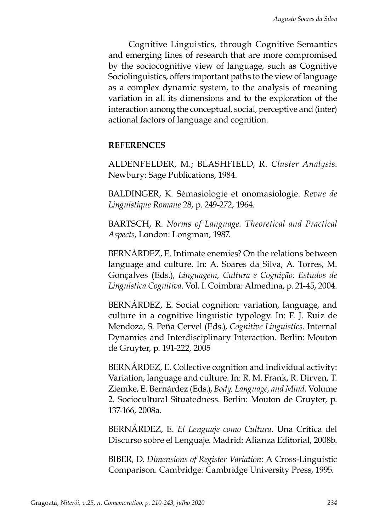Cognitive Linguistics, through Cognitive Semantics and emerging lines of research that are more compromised by the sociocognitive view of language, such as Cognitive Sociolinguistics, offers important paths to the view of language as a complex dynamic system, to the analysis of meaning variation in all its dimensions and to the exploration of the interaction among the conceptual, social, perceptive and (inter) actional factors of language and cognition.

#### **REFERENCES**

ALDENFELDER, M.; BLASHFIELD, R. *Cluster Analysis*. Newbury: Sage Publications, 1984.

BALDINGER, K. Sémasiologie et onomasiologie. *Revue de Linguistique Romane* 28, p. 249-272, 1964.

BARTSCH, R. *Norms of Language. Theoretical and Practical Aspects*, London: Longman, 1987.

BERNÁRDEZ, E. Intimate enemies? On the relations between language and culture. In: A. Soares da Silva, A. Torres, M. Gonçalves (Eds.), *Linguagem, Cultura e Cognição: Estudos de Linguística Cognitiva*. Vol. I. Coimbra: Almedina, p. 21-45, 2004.

BERNÁRDEZ, E. Social cognition: variation, language, and culture in a cognitive linguistic typology. In: F. J. Ruiz de Mendoza, S. Peña Cervel (Eds.), *Cognitive Linguistics.* Internal Dynamics and Interdisciplinary Interaction. Berlin: Mouton de Gruyter, p. 191-222, 2005

BERNÁRDEZ, E. Collective cognition and individual activity: Variation, language and culture. In: R. M. Frank, R. Dirven, T. Ziemke, E. Bernárdez (Eds.), *Body, Language, and Mind.* Volume 2. Sociocultural Situatedness. Berlin: Mouton de Gruyter, p. 137-166, 2008a.

BERNÁRDEZ, E. *El Lenguaje como Cultura.* Una Crítica del Discurso sobre el Lenguaje. Madrid: Alianza Editorial, 2008b.

BIBER, D. *Dimensions of Register Variation:* A Cross-Linguistic Comparison. Cambridge: Cambridge University Press, 1995.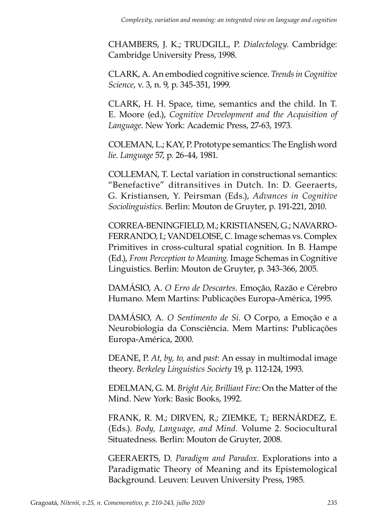CHAMBERS, J. K.; TRUDGILL, P. *Dialectology*. Cambridge: Cambridge University Press, 1998.

CLARK, A. An embodied cognitive science. *Trends in Cognitive Science*, v. 3, n. 9, p. 345-351, 1999.

CLARK, H. H. Space, time, semantics and the child. In T. E. Moore (ed.), *Cognitive Development and the Acquisition of Language*. New York: Academic Press, 27-63, 1973.

COLEMAN, L.; KAY, P. Prototype semantics: The English word *lie*. *Language* 57, p. 26-44, 1981.

COLLEMAN, T. Lectal variation in constructional semantics: "Benefactive" ditransitives in Dutch. In: D. Geeraerts, G. Kristiansen, Y. Peirsman (Eds.), *Advances in Cognitive Sociolinguistics*. Berlin: Mouton de Gruyter, p. 191-221, 2010.

CORREA-BENINGFIELD, M.; KRISTIANSEN, G.; NAVARRO-FERRANDO, I.; VANDELOISE, C. Image schemas vs. Complex Primitives in cross-cultural spatial cognition. In B. Hampe (Ed.), *From Perception to Meaning.* Image Schemas in Cognitive Linguistics. Berlin: Mouton de Gruyter, p. 343-366, 2005.

DAMÁSIO, A. *O Erro de Descartes.* Emoção, Razão e Cérebro Humano. Mem Martins: Publicações Europa-América, 1995.

DAMÁSIO, A. *O Sentimento de Si.* O Corpo, a Emoção e a Neurobiologia da Consciência. Mem Martins: Publicações Europa-América, 2000.

DEANE, P. *At, by, to,* and *past*: An essay in multimodal image theory. *Berkeley Linguistics Society* 19, p. 112-124, 1993.

EDELMAN, G. M. *Bright Air, Brilliant Fire:* On the Matter of the Mind. New York: Basic Books, 1992.

FRANK, R. M.; DIRVEN, R.; ZIEMKE, T.; BERNÁRDEZ, E. (Eds.). *Body, Language, and Mind.* Volume 2. Sociocultural Situatedness. Berlin: Mouton de Gruyter, 2008.

GEERAERTS, D. *Paradigm and Paradox.* Explorations into a Paradigmatic Theory of Meaning and its Epistemological Background. Leuven: Leuven University Press, 1985.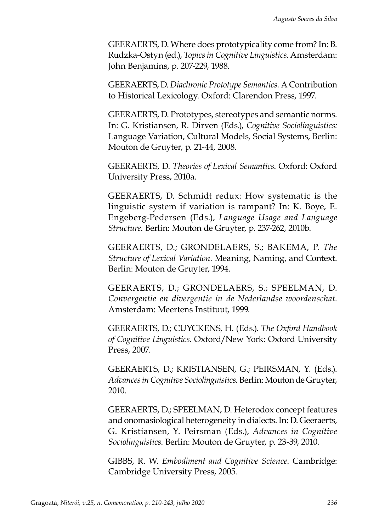GEERAERTS, D. Where does prototypicality come from? In: B. Rudzka-Ostyn (ed.), *Topics in Cognitive Linguistics*. Amsterdam: John Benjamins, p. 207-229, 1988.

GEERAERTS, D. *Diachronic Prototype Semantics.* A Contribution to Historical Lexicology. Oxford: Clarendon Press, 1997.

GEERAERTS, D. Prototypes, stereotypes and semantic norms. In: G. Kristiansen, R. Dirven (Eds.), *Cognitive Sociolinguistics:*  Language Variation, Cultural Models*,* Social Systems, Berlin: Mouton de Gruyter, p. 21-44, 2008.

GEERAERTS, D. *Theories of Lexical Semantics*. Oxford: Oxford University Press, 2010a.

GEERAERTS, D. Schmidt redux: How systematic is the linguistic system if variation is rampant? In: K. Boye, E. Engeberg-Pedersen (Eds.), *Language Usage and Language Structure*. Berlin: Mouton de Gruyter, p. 237-262, 2010b.

GEERAERTS, D.; GRONDELAERS, S.; BAKEMA, P. *The Structure of Lexical Variation.* Meaning, Naming, and Context. Berlin: Mouton de Gruyter, 1994.

GEERAERTS, D.; GRONDELAERS, S.; SPEELMAN, D. *Convergentie en divergentie in de Nederlandse woordenschat*. Amsterdam: Meertens Instituut, 1999.

GEERAERTS, D.; CUYCKENS, H. (Eds.). *The Oxford Handbook of Cognitive Linguistics*. Oxford/New York: Oxford University Press, 2007.

GEERAERTS, D.; KRISTIANSEN, G.; PEIRSMAN, Y. (Eds.). *Advances in Cognitive Sociolinguistics*. Berlin: Mouton de Gruyter, 2010.

GEERAERTS, D.; SPEELMAN, D. Heterodox concept features and onomasiological heterogeneity in dialects. In: D. Geeraerts, G. Kristiansen, Y. Peirsman (Eds.), *Advances in Cognitive Sociolinguistics*. Berlin: Mouton de Gruyter, p. 23-39, 2010.

GIBBS, R. W. *Embodiment and Cognitive Science*. Cambridge: Cambridge University Press, 2005.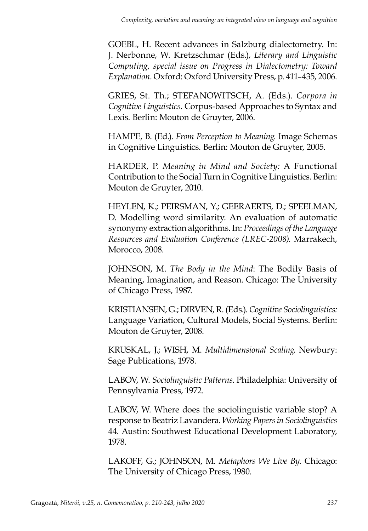GOEBL, H. Recent advances in Salzburg dialectometry. In: J. Nerbonne, W. Kretzschmar (Eds.), *Literary and Linguistic Computing, special issue on Progress in Dialectometry: Toward Explanation*. Oxford: Oxford University Press, p. 411–435, 2006.

GRIES, St. Th.; STEFANOWITSCH, A. (Eds.). *Corpora in Cognitive Linguistics.* Corpus-based Approaches to Syntax and Lexis*.* Berlin: Mouton de Gruyter, 2006.

HAMPE, B. (Ed.). *From Perception to Meaning.* Image Schemas in Cognitive Linguistics. Berlin: Mouton de Gruyter, 2005.

HARDER, P. *Meaning in Mind and Society:* A Functional Contribution to the Social Turn in Cognitive Linguistics. Berlin: Mouton de Gruyter, 2010.

HEYLEN, K.; PEIRSMAN, Y.; GEERAERTS, D.; SPEELMAN, D. Modelling word similarity. An evaluation of automatic synonymy extraction algorithms. In: *Proceedings of the Language Resources and Evaluation Conference (LREC-2008)*. Marrakech, Morocco, 2008.

JOHNSON, M. *The Body in the Mind*: The Bodily Basis of Meaning, Imagination, and Reason. Chicago: The University of Chicago Press, 1987.

KRISTIANSEN, G.; DIRVEN, R. (Eds.). *Cognitive Sociolinguistics:*  Language Variation, Cultural Models, Social Systems. Berlin: Mouton de Gruyter, 2008.

KRUSKAL, J.; WISH, M. *Multidimensional Scaling*. Newbury: Sage Publications, 1978.

LABOV, W. *Sociolinguistic Patterns*. Philadelphia: University of Pennsylvania Press, 1972.

LABOV, W. Where does the sociolinguistic variable stop? A response to Beatriz Lavandera. *Working Papers in Sociolinguistics*  44. Austin: Southwest Educational Development Laboratory, 1978.

LAKOFF, G.; JOHNSON, M. *Metaphors We Live By*. Chicago: The University of Chicago Press, 1980.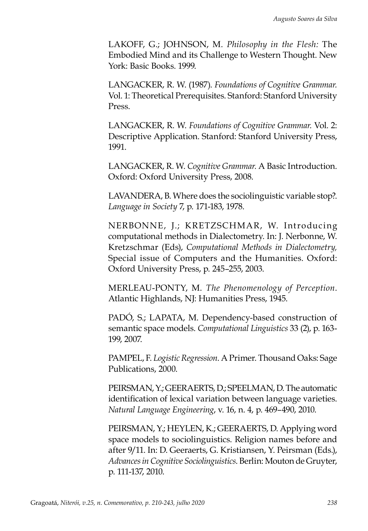LAKOFF, G.; JOHNSON, M. *Philosophy in the Flesh:* The Embodied Mind and its Challenge to Western Thought. New York: Basic Books. 1999.

LANGACKER, R. W. (1987). *Foundations of Cognitive Grammar.*  Vol. 1: Theoretical Prerequisites. Stanford: Stanford University Press.

LANGACKER, R. W. *Foundations of Cognitive Grammar.* Vol. 2: Descriptive Application. Stanford: Stanford University Press, 1991.

LANGACKER, R. W. *Cognitive Grammar.* A Basic Introduction. Oxford: Oxford University Press, 2008.

LAVANDERA, B. Where does the sociolinguistic variable stop?. *Language in Society* 7, p. 171-183, 1978.

NERBONNE, J.; KRETZSCHMAR, W. Introducing computational methods in Dialectometry. In: J. Nerbonne, W. Kretzschmar (Eds), *Computational Methods in Dialectometry,*  Special issue of Computers and the Humanities. Oxford: Oxford University Press, p. 245–255, 2003.

MERLEAU-PONTY, M. *The Phenomenology of Perception*. Atlantic Highlands, NJ: Humanities Press, 1945.

PADÓ, S.; LAPATA, M. Dependency-based construction of semantic space models. *Computational Linguistics* 33 (2), p. 163- 199, 2007.

PAMPEL, F. *Logistic Regression*. A Primer. Thousand Oaks: Sage Publications, 2000.

PEIRSMAN, Y.; GEERAERTS, D.; SPEELMAN, D. The automatic identification of lexical variation between language varieties. *Natural Language Engineering*, v. 16, n. 4, p. 469–490, 2010.

PEIRSMAN, Y.; HEYLEN, K.; GEERAERTS, D. Applying word space models to sociolinguistics. Religion names before and after 9/11. In: D. Geeraerts, G. Kristiansen, Y. Peirsman (Eds.), *Advances in Cognitive Sociolinguistics*. Berlin: Mouton de Gruyter, p. 111-137, 2010.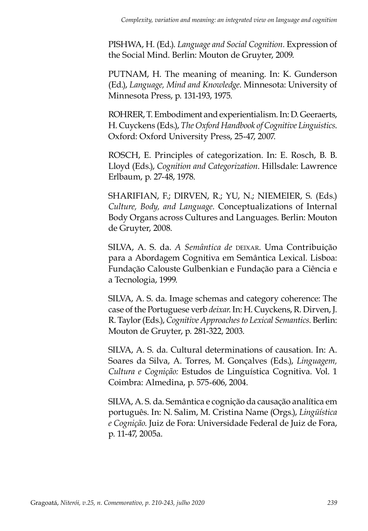PISHWA, H. (Ed.). *Language and Social Cognition.* Expression of the Social Mind. Berlin: Mouton de Gruyter, 2009.

PUTNAM, H. The meaning of meaning. In: K. Gunderson (Ed.), *Language, Mind and Knowledge*. Minnesota: University of Minnesota Press, p. 131-193, 1975.

ROHRER, T. Embodiment and experientialism. In: D. Geeraerts, H. Cuyckens (Eds.), *The Oxford Handbook of Cognitive Linguistics*. Oxford: Oxford University Press, 25-47, 2007.

ROSCH, E. Principles of categorization. In: E. Rosch, B. B. Lloyd (Eds.), *Cognition and Categorization*. Hillsdale: Lawrence Erlbaum, p. 27-48, 1978.

SHARIFIAN, F.; DIRVEN, R.; YU, N.; NIEMEIER, S. (Eds.) *Culture, Body, and Language.* Conceptualizations of Internal Body Organs across Cultures and Languages. Berlin: Mouton de Gruyter, 2008.

SILVA, A. S. da. *A Semântica de* deixar*.* Uma Contribuição para a Abordagem Cognitiva em Semântica Lexical. Lisboa: Fundação Calouste Gulbenkian e Fundação para a Ciência e a Tecnologia, 1999.

SILVA, A. S. da. Image schemas and category coherence: The case of the Portuguese verb *deixar*. In: H. Cuyckens, R. Dirven, J. R. Taylor (Eds.), *Cognitive Approaches to Lexical Semantics*. Berlin: Mouton de Gruyter, p. 281-322, 2003.

SILVA, A. S. da. Cultural determinations of causation. In: A. Soares da Silva, A. Torres, M. Gonçalves (Eds.), *Linguagem, Cultura e Cognição:* Estudos de Linguística Cognitiva. Vol. 1 Coimbra: Almedina, p. 575-606, 2004.

SILVA, A. S. da. Semântica e cognição da causação analítica em português. In: N. Salim, M. Cristina Name (Orgs.), *Lingüística e Cognição*. Juiz de Fora: Universidade Federal de Juiz de Fora, p. 11-47, 2005a.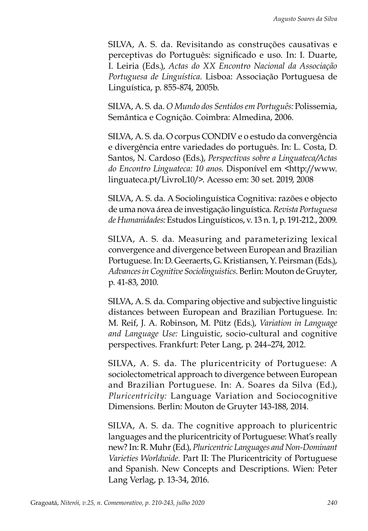SILVA, A. S. da. Revisitando as construções causativas e perceptivas do Português: significado e uso. In: I. Duarte, I. Leiria (Eds.), *Actas do XX Encontro Nacional da Associação Portuguesa de Linguística*. Lisboa: Associação Portuguesa de Linguística, p. 855-874, 2005b.

SILVA, A. S. da. *O Mundo dos Sentidos em Português:* Polissemia, Semântica e Cognição. Coimbra: Almedina, 2006.

SILVA, A. S. da. O corpus CONDIV e o estudo da convergência e divergência entre variedades do português. In: L. Costa, D. Santos, N. Cardoso (Eds.), *Perspectivas sobre a Linguateca/Actas do Encontro Linguateca: 10 anos*. Disponível em <http://www. linguateca.pt/LivroL10/>. Acesso em: 30 set. 2019, 2008

SILVA, A. S. da. A Sociolinguística Cognitiva: razões e objecto de uma nova área de investigação linguística. *Revista Portuguesa de Humanidades:* Estudos Linguísticos, v. 13 n. 1, p. 191-212., 2009.

SILVA, A. S. da. Measuring and parameterizing lexical convergence and divergence between European and Brazilian Portuguese. In: D. Geeraerts, G. Kristiansen, Y. Peirsman (Eds.), *Advances in Cognitive Sociolinguistics*. Berlin: Mouton de Gruyter, p. 41-83, 2010.

SILVA, A. S. da. Comparing objective and subjective linguistic distances between European and Brazilian Portuguese. In: M. Reif, J. A. Robinson, M. Pütz (Eds.), *Variation in Language and Language Use:* Linguistic, socio-cultural and cognitive perspectives. Frankfurt: Peter Lang, p. 244–274, 2012.

SILVA, A. S. da. The pluricentricity of Portuguese: A sociolectometrical approach to divergence between European and Brazilian Portuguese. In: A. Soares da Silva (Ed.), *Pluricentricity:* Language Variation and Sociocognitive Dimensions. Berlin: Mouton de Gruyter 143-188, 2014.

SILVA, A. S. da. The cognitive approach to pluricentric languages and the pluricentricity of Portuguese: What's really new? In: R. Muhr (Ed.), *Pluricentric Languages and Non-Dominant Varieties Worldwide.* Part II: The Pluricentricity of Portuguese and Spanish. New Concepts and Descriptions. Wien: Peter Lang Verlag, p. 13-34, 2016.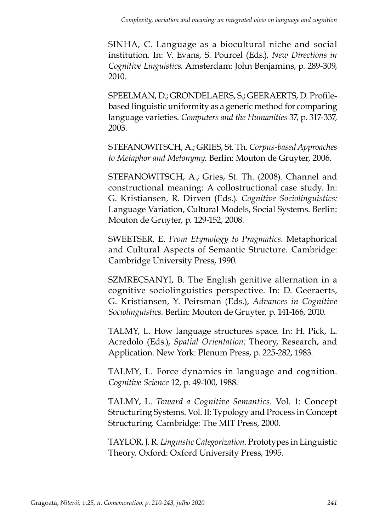SINHA, C. Language as a biocultural niche and social institution. In: V. Evans, S. Pourcel (Eds.), *New Directions in Cognitive Linguistics*. Amsterdam: John Benjamins, p. 289-309, 2010.

SPEELMAN, D.; GRONDELAERS, S.; GEERAERTS, D. Profilebased linguistic uniformity as a generic method for comparing language varieties. *Computers and the Humanities* 37, p. 317-337, 2003.

STEFANOWITSCH, A.; GRIES, St. Th. *Corpus-based Approaches to Metaphor and Metonymy*. Berlin: Mouton de Gruyter, 2006.

STEFANOWITSCH, A.; Gries, St. Th. (2008). Channel and constructional meaning: A collostructional case study. In: G. Kristiansen, R. Dirven (Eds.). *Cognitive Sociolinguistics:*  Language Variation, Cultural Models, Social Systems. Berlin: Mouton de Gruyter, p. 129-152, 2008.

SWEETSER, E. *From Etymology to Pragmatics.* Metaphorical and Cultural Aspects of Semantic Structure. Cambridge: Cambridge University Press, 1990.

SZMRECSANYI, B. The English genitive alternation in a cognitive sociolinguistics perspective. In: D. Geeraerts, G. Kristiansen, Y. Peirsman (Eds.), *Advances in Cognitive Sociolinguistics*. Berlin: Mouton de Gruyter, p. 141-166, 2010.

TALMY, L. How language structures space. In: H. Pick, L. Acredolo (Eds.), *Spatial Orientation:* Theory, Research, and Application. New York: Plenum Press, p. 225-282, 1983.

TALMY, L. Force dynamics in language and cognition. *Cognitive Science* 12, p. 49-100, 1988.

TALMY, L. *Toward a Cognitive Semantics.* Vol. 1: Concept Structuring Systems. Vol. II: Typology and Process in Concept Structuring. Cambridge: The MIT Press, 2000.

TAYLOR, J. R. *Linguistic Categorization.* Prototypes in Linguistic Theory. Oxford: Oxford University Press, 1995.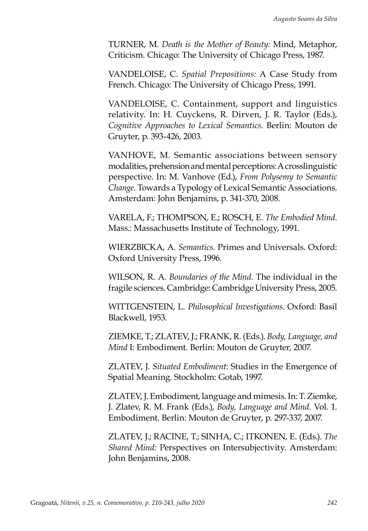TURNER, M. *Death is the Mother of Beauty:* Mind, Metaphor, Criticism. Chicago: The University of Chicago Press, 1987.

VANDELOISE, C. *Spatial Prepositions:* A Case Study from French. Chicago: The University of Chicago Press, 1991.

VANDELOISE, C. Containment, support and linguistics relativity. In: H. Cuyckens, R. Dirven, J. R. Taylor (Eds.), *Cognitive Approaches to Lexical Semantics*. Berlin: Mouton de Gruyter, p. 393-426, 2003.

VANHOVE, M. Semantic associations between sensory modalities, prehension and mental perceptions: A crosslinguistic perspective. In: M. Vanhove (Ed.), *From Polysemy to Semantic Change.* Towards a Typology of Lexical Semantic Associations. Amsterdam: John Benjamins, p. 341-370, 2008.

VARELA, F.; THOMPSON, E.; ROSCH, E. *The Embodied Mind*. Mass.: Massachusetts Institute of Technology, 1991.

WIERZBICKA, A. *Semantics.* Primes and Universals. Oxford: Oxford University Press, 1996.

WILSON, R. A. *Boundaries of the Mind*. The individual in the fragile sciences. Cambridge: Cambridge University Press, 2005.

WITTGENSTEIN, L. *Philosophical Investigations*. Oxford: Basil Blackwell, 1953.

ZIEMKE, T.; ZLATEV, J.; FRANK, R. (Eds.). *Body, Language, and Mind* I: Embodiment. Berlin: Mouton de Gruyter, 2007.

ZLATEV, J. *Situated Embodiment*: Studies in the Emergence of Spatial Meaning. Stockholm: Gotab, 1997.

ZLATEV, J. Embodiment, language and mimesis. In: T. Ziemke, J. Zlatev, R. M. Frank (Eds.), *Body, Language and Mind.* Vol. 1. Embodiment. Berlin: Mouton de Gruyter, p. 297-337, 2007.

ZLATEV, J.; RACINE, T.; SINHA, C.; ITKONEN, E. (Eds.). *The Shared Mind:* Perspectives on Intersubjectivity. Amsterdam: John Benjamins, 2008.